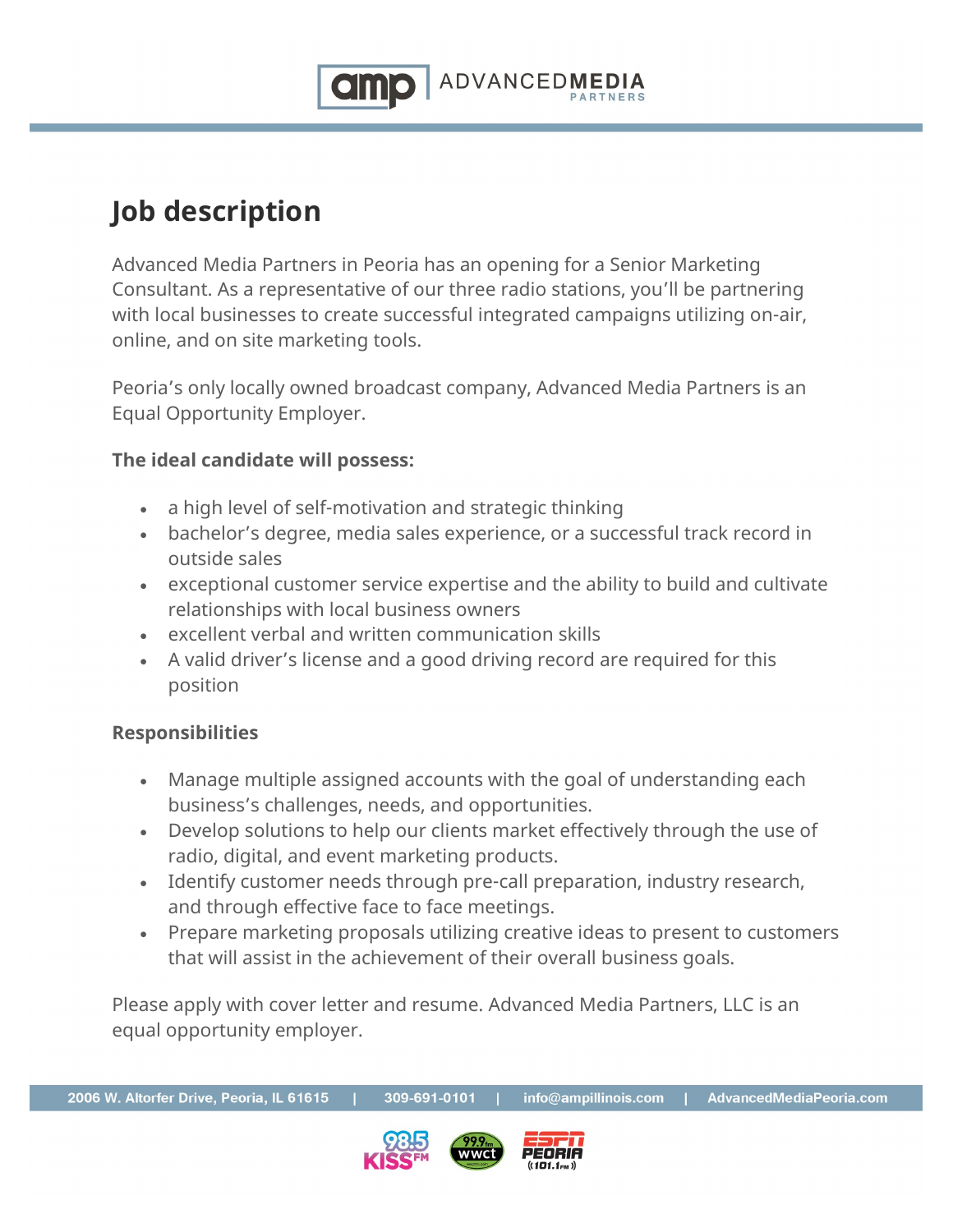

## **Job description**

Advanced Media Partners in Peoria has an opening for a Senior Marketing Consultant. As a representative of our three radio stations, you'll be partnering with local businesses to create successful integrated campaigns utilizing on-air, online, and on site marketing tools.

Peoria's only locally owned broadcast company, Advanced Media Partners is an Equal Opportunity Employer.

## **The ideal candidate will possess:**

- a high level of self-motivation and strategic thinking
- bachelor's degree, media sales experience, or a successful track record in outside sales
- exceptional customer service expertise and the ability to build and cultivate relationships with local business owners
- excellent verbal and written communication skills
- A valid driver's license and a good driving record are required for this position

## **Responsibilities**

- Manage multiple assigned accounts with the goal of understanding each business's challenges, needs, and opportunities.
- Develop solutions to help our clients market effectively through the use of radio, digital, and event marketing products.
- Identify customer needs through pre-call preparation, industry research, and through effective face to face meetings.
- Prepare marketing proposals utilizing creative ideas to present to customers that will assist in the achievement of their overall business goals.

Please apply with cover letter and resume. Advanced Media Partners, LLC is an equal opportunity employer.

309-691-0101